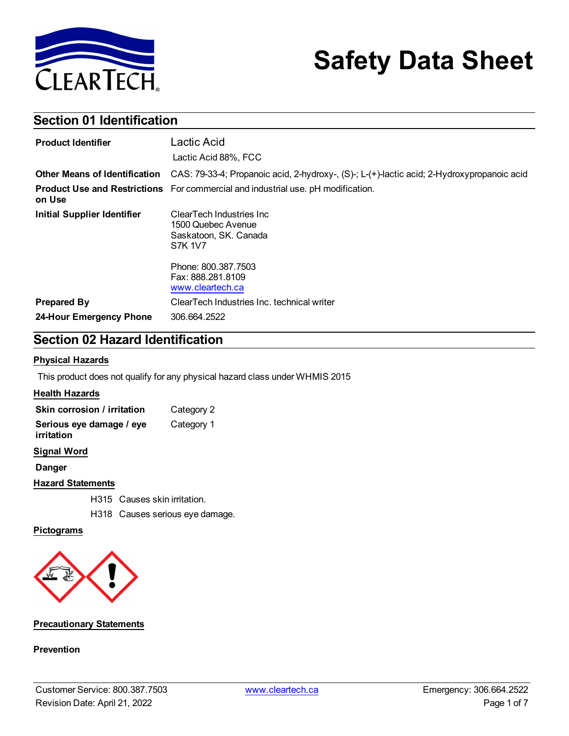

# **Safety Data Sheet**

## **Section 01 Identification**

| <b>Product Identifier</b>          | Lactic Acid                                                                                |
|------------------------------------|--------------------------------------------------------------------------------------------|
|                                    | Lactic Acid 88%, FCC                                                                       |
| Other Means of Identification      | CAS: 79-33-4; Propanoic acid, 2-hydroxy-, (S)-; L-(+)-lactic acid; 2-Hydroxypropanoic acid |
| on Use                             | Product Use and Restrictions For commercial and industrial use. pH modification.           |
| <b>Initial Supplier Identifier</b> | ClearTech Industries Inc<br>1500 Quebec Avenue<br>Saskatoon, SK. Canada<br><b>S7K 1V7</b>  |
|                                    | Phone: 800.387.7503<br>Fax: 888.281.8109<br>www.cleartech.ca                               |
| <b>Prepared By</b>                 | ClearTech Industries Inc. technical writer                                                 |
| 24-Hour Emergency Phone            | 306.664.2522                                                                               |

## **Section 02 Hazard Identification**

#### **Physical Hazards**

This product does not qualify for any physical hazard class under WHMIS 2015

#### **Health Hazards**

| Skin corrosion / irritation            | Category 2 |
|----------------------------------------|------------|
| Serious eye damage / eye<br>irritation | Category 1 |

#### **Signal Word**

**Danger**

#### **Hazard Statements**

H315 Causes skin irritation.

H318 Causes serious eye damage.

#### **Pictograms**



#### **Precautionary Statements**

#### **Prevention**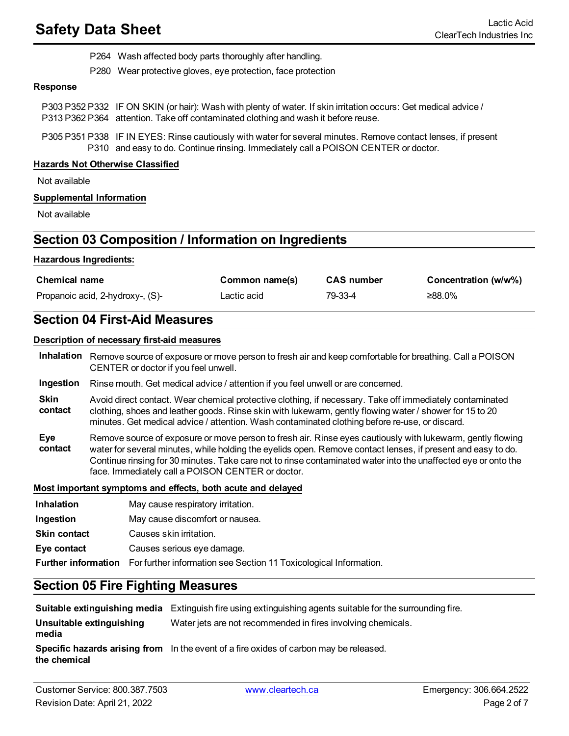- P264 Wash affected body parts thoroughly after handling.
- P280 Wear protective gloves, eye protection, face protection

#### **Response**

- P303 P352 P332 IF ON SKIN (or hair): Wash with plenty of water. If skin irritation occurs: Get medical advice / P313 P362 P364 attention. Take off contaminated clothing and wash it before reuse.
- P305 P351 P338 IF IN EYES: Rinse cautiously with water for several minutes. Remove contact lenses, if present P310 and easy to do. Continue rinsing. Immediately call a POISON CENTER or doctor.

#### **Hazards Not Otherwise Classified**

Not available

#### **Supplemental Information**

Not available

## **Section 03 Composition / Information on Ingredients**

#### **Hazardous Ingredients:**

| <b>Chemical name</b>             | Common name(s) | <b>CAS number</b> | Concentration (w/w%) |
|----------------------------------|----------------|-------------------|----------------------|
| Propanoic acid, 2-hydroxy-, (S)- | Lactic acid    | 79-33-4           | $≥88.0\%$            |

## **Section 04 First-Aid Measures**

#### **Description of necessary first-aid measures**

**Inhalation** Remove source of exposure or move person to fresh air and keep comfortable for breathing. Call a POISON CENTER or doctor if you feel unwell.

- **Ingestion** Rinse mouth. Get medical advice / attention if you feel unwell or are concerned.
- **Skin contact** Avoid direct contact. Wear chemical protective clothing, if necessary. Take off immediately contaminated clothing, shoes and leather goods. Rinse skin with lukewarm, gently flowing water / shower for 15 to 20 minutes. Get medical advice / attention. Wash contaminated clothing before re-use, or discard.
- **Eye contact** Remove source of exposure or move person to fresh air. Rinse eyes cautiously with lukewarm, gently flowing water for several minutes, while holding the eyelids open. Remove contact lenses, if present and easy to do. Continue rinsing for 30 minutes. Take care not to rinse contaminated water into the unaffected eye or onto the face. Immediately call a POISON CENTER or doctor.

#### **Most important symptoms and effects, both acute and delayed**

**Inhalation** May cause respiratory irritation. **Ingestion** May cause discomfort or nausea. **Skin contact** Causes skin irritation. **Eye contact** Causes serious eye damage. **Further information** For further information see Section 11 Toxicological Information.

## **Section 05 Fire Fighting Measures**

**Suitable extinguishing media** Extinguish fire using extinguishing agents suitable for the surrounding fire.

**Unsuitable extinguishing** Water jets are not recommended in fires involving chemicals.

**media**

**Specific hazards arising from** In the event of a fire oxides of carbon may be released.

**the chemical**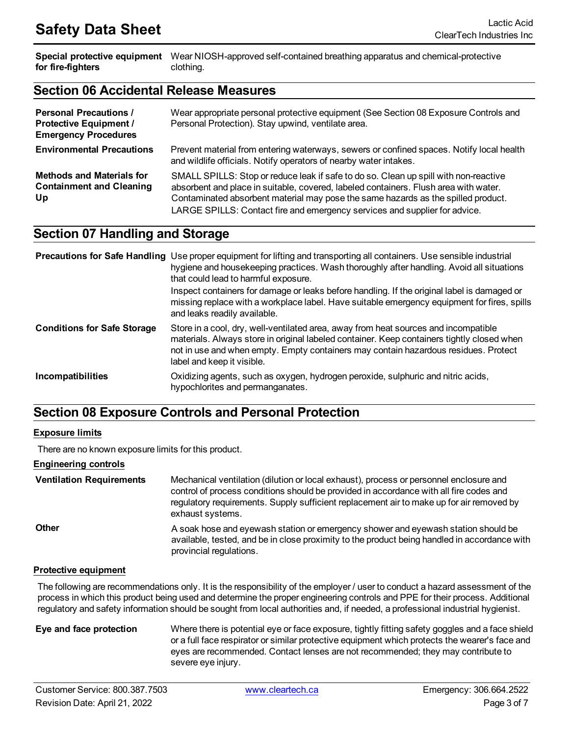**Special protective equipment** Wear NIOSH-approved self-contained breathing apparatus and chemical-protective **for fire-fighters** clothing.

### **Section 06 Accidental Release Measures**

| <b>Personal Precautions /</b><br><b>Protective Equipment /</b><br><b>Emergency Procedures</b> | Wear appropriate personal protective equipment (See Section 08 Exposure Controls and<br>Personal Protection). Stay upwind, ventilate area.                                                                                                                                                                                                      |
|-----------------------------------------------------------------------------------------------|-------------------------------------------------------------------------------------------------------------------------------------------------------------------------------------------------------------------------------------------------------------------------------------------------------------------------------------------------|
| <b>Environmental Precautions</b>                                                              | Prevent material from entering waterways, sewers or confined spaces. Notify local health<br>and wildlife officials. Notify operators of nearby water intakes.                                                                                                                                                                                   |
| <b>Methods and Materials for</b><br><b>Containment and Cleaning</b><br>Up                     | SMALL SPILLS: Stop or reduce leak if safe to do so. Clean up spill with non-reactive<br>absorbent and place in suitable, covered, labeled containers. Flush area with water.<br>Contaminated absorbent material may pose the same hazards as the spilled product.<br>LARGE SPILLS: Contact fire and emergency services and supplier for advice. |

## **Section 07 Handling and Storage**

|                                    | <b>Precautions for Safe Handling</b> Use proper equipment for lifting and transporting all containers. Use sensible industrial<br>hygiene and housekeeping practices. Wash thoroughly after handling. Avoid all situations<br>that could lead to harmful exposure.                                     |
|------------------------------------|--------------------------------------------------------------------------------------------------------------------------------------------------------------------------------------------------------------------------------------------------------------------------------------------------------|
|                                    | Inspect containers for damage or leaks before handling. If the original label is damaged or<br>missing replace with a workplace label. Have suitable emergency equipment for fires, spills<br>and leaks readily available.                                                                             |
| <b>Conditions for Safe Storage</b> | Store in a cool, dry, well-ventilated area, away from heat sources and incompatible<br>materials. Always store in original labeled container. Keep containers tightly closed when<br>not in use and when empty. Empty containers may contain hazardous residues. Protect<br>label and keep it visible. |
| Incompatibilities                  | Oxidizing agents, such as oxygen, hydrogen peroxide, sulphuric and nitric acids,<br>hypochlorites and permanganates.                                                                                                                                                                                   |

## **Section 08 Exposure Controls and Personal Protection**

#### **Exposure limits**

There are no known exposure limits for this product.

#### **Engineering controls**

**Ventilation Requirements** Mechanical ventilation (dilution or local exhaust), process or personnel enclosure and control of process conditions should be provided in accordance with all fire codes and regulatory requirements. Supply sufficient replacement air to make up for air removed by exhaust systems. **Other A** soak hose and eyewash station or emergency shower and eyewash station should be available, tested, and be in close proximity to the product being handled in accordance with provincial regulations.

#### **Protective equipment**

The following are recommendations only. It is the responsibility of the employer / user to conduct a hazard assessment of the process in which this product being used and determine the proper engineering controls and PPE for their process. Additional regulatory and safety information should be sought from local authorities and, if needed, a professional industrial hygienist.

**Eye and face protection** Where there is potential eye or face exposure, tightly fitting safety goggles and a face shield or a full face respirator or similar protective equipment which protects the wearer's face and eyes are recommended. Contact lenses are not recommended; they may contribute to severe eye injury.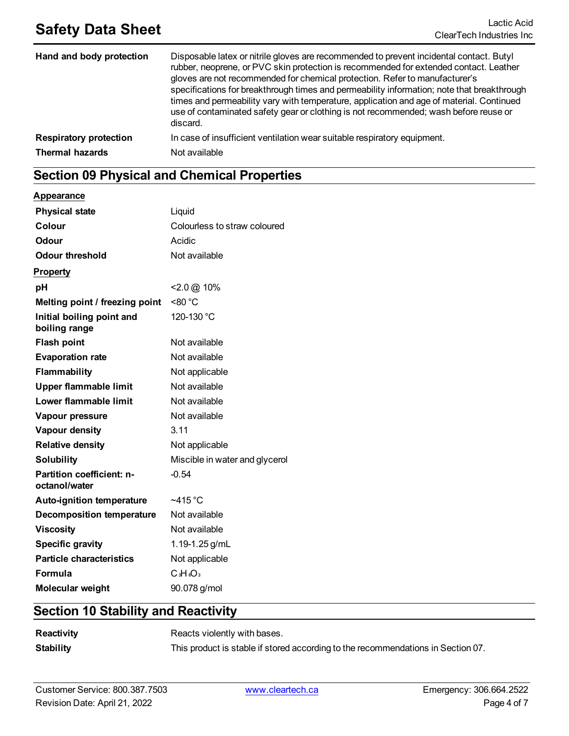## **Safety Data Sheet** Lactic Acid

| Hand and body protection      | Disposable latex or nitrile gloves are recommended to prevent incidental contact. Butyl<br>rubber, neoprene, or PVC skin protection is recommended for extended contact. Leather<br>gloves are not recommended for chemical protection. Refer to manufacturer's<br>specifications for breakthrough times and permeability information; note that breakthrough<br>times and permeability vary with temperature, application and age of material. Continued<br>use of contaminated safety gear or clothing is not recommended; wash before reuse or<br>discard. |
|-------------------------------|---------------------------------------------------------------------------------------------------------------------------------------------------------------------------------------------------------------------------------------------------------------------------------------------------------------------------------------------------------------------------------------------------------------------------------------------------------------------------------------------------------------------------------------------------------------|
| <b>Respiratory protection</b> | In case of insufficient ventilation wear suitable respiratory equipment.                                                                                                                                                                                                                                                                                                                                                                                                                                                                                      |
| <b>Thermal hazards</b>        | Not available                                                                                                                                                                                                                                                                                                                                                                                                                                                                                                                                                 |

## **Section 09 Physical and Chemical Properties**

**Appearance**

| <b>Physical state</b>                      | Liquid                         |
|--------------------------------------------|--------------------------------|
| Colour                                     | Colourless to straw coloured   |
| <b>Odour</b>                               | Acidic                         |
| <b>Odour threshold</b>                     | Not available                  |
| <b>Property</b>                            |                                |
| pH                                         | $<$ 2.0 $\omega$ 10%           |
| Melting point / freezing point             | < 80 °C                        |
| Initial boiling point and<br>boiling range | 120-130 °C                     |
| <b>Flash point</b>                         | Not available                  |
| <b>Evaporation rate</b>                    | Not available                  |
| <b>Flammability</b>                        | Not applicable                 |
| <b>Upper flammable limit</b>               | Not available                  |
| Lower flammable limit                      | Not available                  |
| Vapour pressure                            | Not available                  |
| Vapour density                             | 3.11                           |
| <b>Relative density</b>                    | Not applicable                 |
| <b>Solubility</b>                          | Miscible in water and glycerol |
| Partition coefficient: n-<br>octanol/water | $-0.54$                        |
| <b>Auto-ignition temperature</b>           | ~415 $^{\circ}$ C              |
| <b>Decomposition temperature</b>           | Not available                  |
| <b>Viscosity</b>                           | Not available                  |
| <b>Specific gravity</b>                    | 1.19-1.25 g/mL                 |
| <b>Particle characteristics</b>            | Not applicable                 |
| <b>Formula</b>                             | $C3H6O3$                       |
| <b>Molecular weight</b>                    | 90.078 g/mol                   |

## **Section 10 Stability and Reactivity**

| Reactivity       | Reacts violently with bases.                                                     |
|------------------|----------------------------------------------------------------------------------|
| <b>Stability</b> | This product is stable if stored according to the recommendations in Section 07. |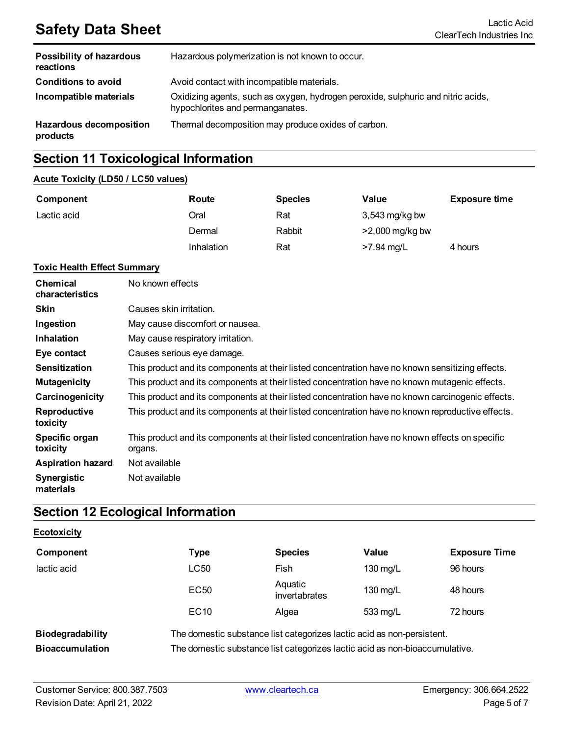## **Safety Data Sheet** Lactic Acid Lactic Acid

| Possibility of hazardous<br>reactions      | Hazardous polymerization is not known to occur.                                                                      |
|--------------------------------------------|----------------------------------------------------------------------------------------------------------------------|
| <b>Conditions to avoid</b>                 | Avoid contact with incompatible materials.                                                                           |
| Incompatible materials                     | Oxidizing agents, such as oxygen, hydrogen peroxide, sulphuric and nitric acids,<br>hypochlorites and permanganates. |
| <b>Hazardous decomposition</b><br>products | Thermal decomposition may produce oxides of carbon.                                                                  |

## **Section 11 Toxicological Information**

#### **Acute Toxicity (LD50 / LC50 values)**

| Component   | Route      | <b>Species</b> | Value             | <b>Exposure time</b> |
|-------------|------------|----------------|-------------------|----------------------|
| Lactic acid | Oral       | Rat            | $3,543$ mg/kg bw  |                      |
|             | Dermal     | Rabbit         | $>2,000$ mg/kg bw |                      |
|             | Inhalation | Rat            | $>7.94$ mg/L      | 4 hours              |

#### **Toxic Health Effect Summary**

| <b>Chemical</b><br>characteristics | No known effects                                                                                           |
|------------------------------------|------------------------------------------------------------------------------------------------------------|
| <b>Skin</b>                        | Causes skin irritation.                                                                                    |
| Ingestion                          | May cause discomfort or nausea.                                                                            |
| <b>Inhalation</b>                  | May cause respiratory irritation.                                                                          |
| Eye contact                        | Causes serious eye damage.                                                                                 |
| <b>Sensitization</b>               | This product and its components at their listed concentration have no known sensitizing effects.           |
| <b>Mutagenicity</b>                | This product and its components at their listed concentration have no known mutagenic effects.             |
| Carcinogenicity                    | This product and its components at their listed concentration have no known carcinogenic effects.          |
| Reproductive<br>toxicity           | This product and its components at their listed concentration have no known reproductive effects.          |
| Specific organ<br>toxicity         | This product and its components at their listed concentration have no known effects on specific<br>organs. |
| <b>Aspiration hazard</b>           | Not available                                                                                              |
| <b>Synergistic</b><br>materials    | Not available                                                                                              |

## **Section 12 Ecological Information**

#### **Ecotoxicity**

| Component                                  | Type                                                                                                                                                  | <b>Species</b>           | Value    | <b>Exposure Time</b> |
|--------------------------------------------|-------------------------------------------------------------------------------------------------------------------------------------------------------|--------------------------|----------|----------------------|
| lactic acid                                | LC50                                                                                                                                                  | Fish                     | 130 mg/L | 96 hours             |
|                                            | EC <sub>50</sub>                                                                                                                                      | Aquatic<br>invertabrates | 130 mg/L | 48 hours             |
|                                            | EC <sub>10</sub>                                                                                                                                      | Algea                    | 533 mg/L | 72 hours             |
| Biodegradability<br><b>Bioaccumulation</b> | The domestic substance list categorizes lactic acid as non-persistent.<br>The domestic substance list categorizes lactic acid as non-bioaccumulative. |                          |          |                      |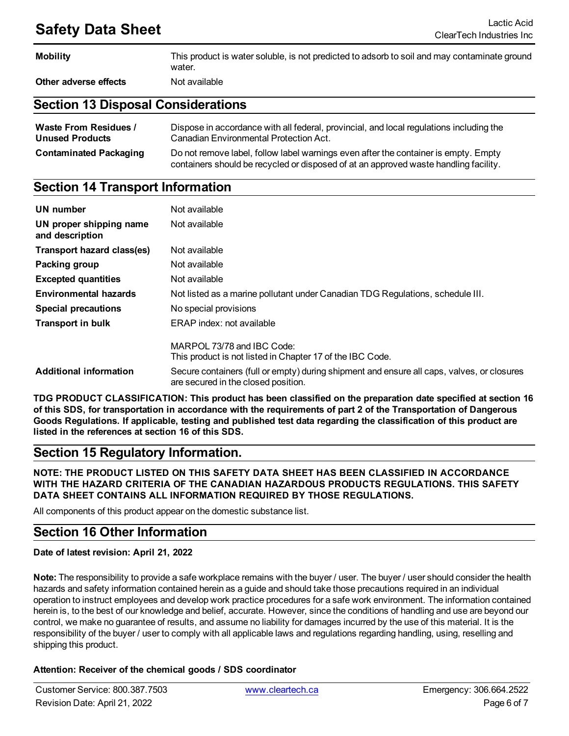## **Safety Data Sheet** Lactic Acid

| <b>Mobility</b>       | This product is water soluble, is not predicted to adsorb to soil and may contaminate ground<br>water. |
|-----------------------|--------------------------------------------------------------------------------------------------------|
| Other adverse effects | Not available                                                                                          |

## **Section 13 Disposal Considerations**

| <b>Waste From Residues /</b>  | Dispose in accordance with all federal, provincial, and local regulations including the                                                                                     |
|-------------------------------|-----------------------------------------------------------------------------------------------------------------------------------------------------------------------------|
| <b>Unused Products</b>        | Canadian Environmental Protection Act.                                                                                                                                      |
| <b>Contaminated Packaging</b> | Do not remove label, follow label warnings even after the container is empty. Empty<br>containers should be recycled or disposed of at an approved waste handling facility. |

## **Section 14 Transport Information**

| UN number                                  | Not available                                                                                                                     |
|--------------------------------------------|-----------------------------------------------------------------------------------------------------------------------------------|
| UN proper shipping name<br>and description | Not available                                                                                                                     |
| Transport hazard class(es)                 | Not available                                                                                                                     |
| Packing group                              | Not available                                                                                                                     |
| <b>Excepted quantities</b>                 | Not available                                                                                                                     |
| <b>Environmental hazards</b>               | Not listed as a marine pollutant under Canadian TDG Regulations, schedule III.                                                    |
| <b>Special precautions</b>                 | No special provisions                                                                                                             |
| <b>Transport in bulk</b>                   | ERAP index: not available                                                                                                         |
|                                            | MARPOL 73/78 and IBC Code:<br>This product is not listed in Chapter 17 of the IBC Code.                                           |
| <b>Additional information</b>              | Secure containers (full or empty) during shipment and ensure all caps, valves, or closures<br>are secured in the closed position. |

**TDG PRODUCT CLASSIFICATION: This product has been classified on the preparation date specified at section 16** of this SDS, for transportation in accordance with the requirements of part 2 of the Transportation of Dangerous Goods Regulations. If applicable, testing and published test data regarding the classification of this product are **listed in the references at section 16 of this SDS.**

## **Section 15 Regulatory Information.**

**NOTE: THE PRODUCT LISTED ON THIS SAFETY DATA SHEET HAS BEEN CLASSIFIED IN ACCORDANCE WITH THE HAZARD CRITERIA OF THE CANADIAN HAZARDOUS PRODUCTS REGULATIONS. THIS SAFETY DATA SHEET CONTAINS ALL INFORMATION REQUIRED BY THOSE REGULATIONS.**

All components of this product appear on the domestic substance list.

## **Section 16 Other Information**

#### **Date of latest revision: April 21, 2022**

**Note:** The responsibility to provide a safe workplace remains with the buyer / user. The buyer / user should consider the health hazards and safety information contained herein as a guide and should take those precautions required in an individual operation to instruct employees and develop work practice procedures for a safe work environment. The information contained herein is, to the best of our knowledge and belief, accurate. However, since the conditions of handling and use are beyond our control, we make no guarantee of results, and assume no liability for damages incurred by the use of this material. It is the responsibility of the buyer / user to comply with all applicable laws and regulations regarding handling, using, reselling and shipping this product.

#### **Attention: Receiver of the chemical goods / SDS coordinator**